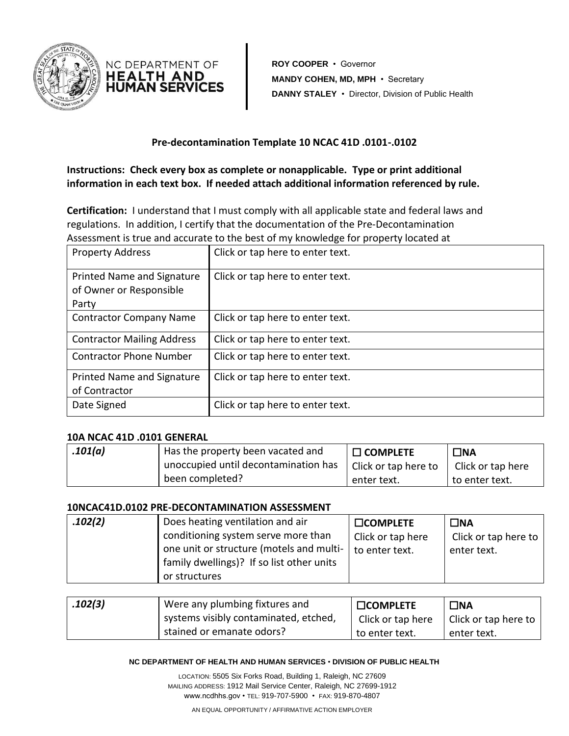



**ROY COOPER** • Governor **MANDY COHEN, MD, MPH** • Secretary **DANNY STALEY** • Director, Division of Public Health

### **Pre-decontamination Template 10 NCAC 41D .0101-.0102**

**Instructions: Check every box as complete or nonapplicable. Type or print additional information in each text box. If needed attach additional information referenced by rule.** 

**Certification:** I understand that I must comply with all applicable state and federal laws and regulations. In addition, I certify that the documentation of the Pre-Decontamination Assessment is true and accurate to the best of my knowledge for property located at

| <b>Property Address</b>           | Click or tap here to enter text. |
|-----------------------------------|----------------------------------|
|                                   |                                  |
| Printed Name and Signature        | Click or tap here to enter text. |
| of Owner or Responsible           |                                  |
| Party                             |                                  |
| <b>Contractor Company Name</b>    | Click or tap here to enter text. |
| <b>Contractor Mailing Address</b> | Click or tap here to enter text. |
| <b>Contractor Phone Number</b>    | Click or tap here to enter text. |
| Printed Name and Signature        | Click or tap here to enter text. |
| of Contractor                     |                                  |
| Date Signed                       | Click or tap here to enter text. |

### **10A NCAC 41D .0101 GENERAL**

| .101(a) | Has the property been vacated and    | $\Box$ complete      | $\square$ NA      |
|---------|--------------------------------------|----------------------|-------------------|
|         | unoccupied until decontamination has | Click or tap here to | Click or tap here |
|         | been completed?                      | enter text.          | to enter text.    |

### **10NCAC41D.0102 PRE-DECONTAMINATION ASSESSMENT**

| .102(2) | Does heating ventilation and air          | $\square$ COMPLETE | ∃NA                  |
|---------|-------------------------------------------|--------------------|----------------------|
|         | conditioning system serve more than       | Click or tap here  | Click or tap here to |
|         | one unit or structure (motels and multi-  | to enter text.     | enter text.          |
|         | family dwellings)? If so list other units |                    |                      |
|         | or structures                             |                    |                      |

| .102(3) | Were any plumbing fixtures and        | <b>COMPLETE</b>   | $\square$ NA         |
|---------|---------------------------------------|-------------------|----------------------|
|         | systems visibly contaminated, etched, | Click or tap here | Click or tap here to |
|         | stained or emanate odors?             | to enter text.    | enter text.          |

#### **NC DEPARTMENT OF HEALTH AND HUMAN SERVICES** • **DIVISION OF PUBLIC HEALTH**

LOCATION: 5505 Six Forks Road, Building 1, Raleigh, NC 27609 MAILING ADDRESS: 1912 Mail Service Center, Raleigh, NC 27699-1912 www.ncdhhs.gov • TEL: 919-707-5900 • FAX: 919-870-4807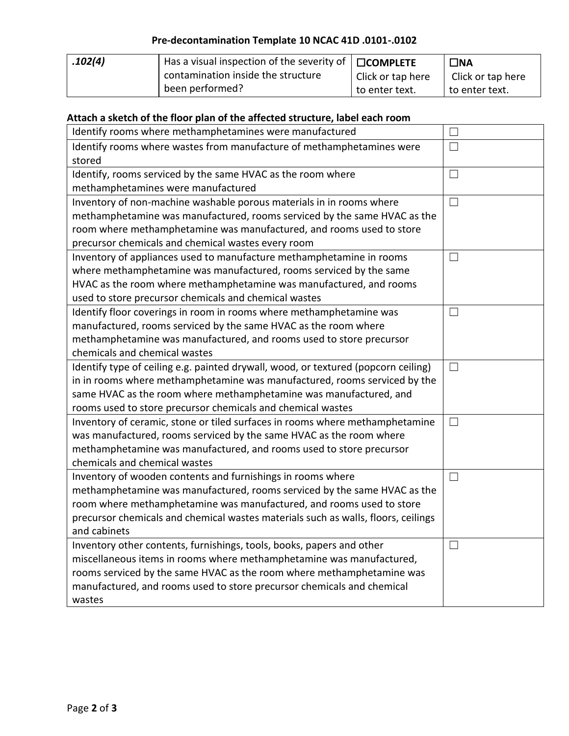# **Pre-decontamination Template 10 NCAC 41D .0101-.0102**

| .102(4) | Has a visual inspection of the severity of $\Box$ COMPLETE |                   | $\Box$ NA         |
|---------|------------------------------------------------------------|-------------------|-------------------|
|         | contamination inside the structure                         | Click or tap here | Click or tap here |
|         | been performed?                                            | to enter text.    | to enter text.    |

## **Attach a sketch of the floor plan of the affected structure, label each room**

| Identify rooms where methamphetamines were manufactured                            | $\perp$ |
|------------------------------------------------------------------------------------|---------|
| Identify rooms where wastes from manufacture of methamphetamines were              | $\Box$  |
| stored                                                                             |         |
| Identify, rooms serviced by the same HVAC as the room where                        | $\Box$  |
| methamphetamines were manufactured                                                 |         |
| Inventory of non-machine washable porous materials in in rooms where               | $\Box$  |
| methamphetamine was manufactured, rooms serviced by the same HVAC as the           |         |
| room where methamphetamine was manufactured, and rooms used to store               |         |
| precursor chemicals and chemical wastes every room                                 |         |
| Inventory of appliances used to manufacture methamphetamine in rooms               | $\Box$  |
| where methamphetamine was manufactured, rooms serviced by the same                 |         |
| HVAC as the room where methamphetamine was manufactured, and rooms                 |         |
| used to store precursor chemicals and chemical wastes                              |         |
| Identify floor coverings in room in rooms where methamphetamine was                | $\Box$  |
| manufactured, rooms serviced by the same HVAC as the room where                    |         |
| methamphetamine was manufactured, and rooms used to store precursor                |         |
| chemicals and chemical wastes                                                      |         |
| Identify type of ceiling e.g. painted drywall, wood, or textured (popcorn ceiling) | $\Box$  |
| in in rooms where methamphetamine was manufactured, rooms serviced by the          |         |
| same HVAC as the room where methamphetamine was manufactured, and                  |         |
| rooms used to store precursor chemicals and chemical wastes                        |         |
| Inventory of ceramic, stone or tiled surfaces in rooms where methamphetamine       | $\Box$  |
| was manufactured, rooms serviced by the same HVAC as the room where                |         |
| methamphetamine was manufactured, and rooms used to store precursor                |         |
| chemicals and chemical wastes                                                      |         |
| Inventory of wooden contents and furnishings in rooms where                        | $\Box$  |
| methamphetamine was manufactured, rooms serviced by the same HVAC as the           |         |
| room where methamphetamine was manufactured, and rooms used to store               |         |
| precursor chemicals and chemical wastes materials such as walls, floors, ceilings  |         |
| and cabinets                                                                       |         |
| Inventory other contents, furnishings, tools, books, papers and other              | $\Box$  |
| miscellaneous items in rooms where methamphetamine was manufactured,               |         |
| rooms serviced by the same HVAC as the room where methamphetamine was              |         |
| manufactured, and rooms used to store precursor chemicals and chemical             |         |
| wastes                                                                             |         |